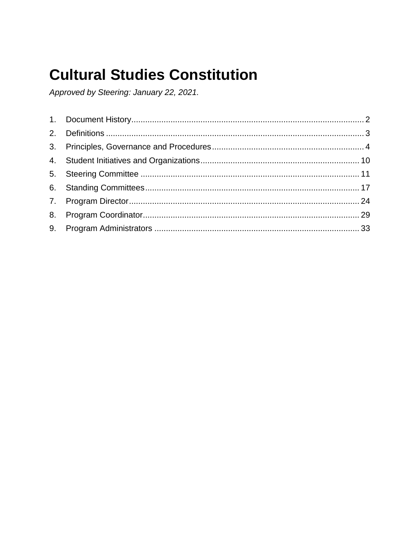# **Cultural Studies Constitution**

Approved by Steering: January 22, 2021.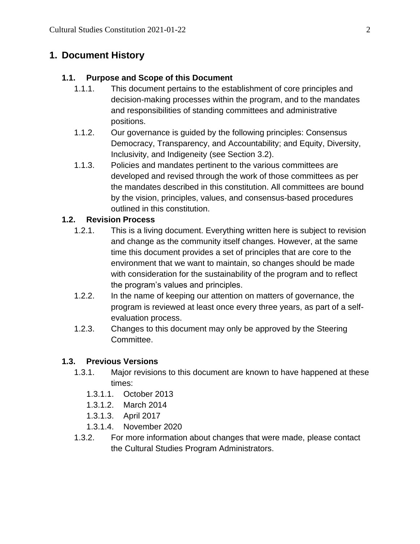# <span id="page-1-0"></span>**1. Document History**

### **1.1. Purpose and Scope of this Document**

- 1.1.1. This document pertains to the establishment of core principles and decision-making processes within the program, and to the mandates and responsibilities of standing committees and administrative positions.
- 1.1.2. Our governance is guided by the following principles: Consensus Democracy, Transparency, and Accountability; and Equity, Diversity, Inclusivity, and Indigeneity (see Section 3.2).
- 1.1.3. Policies and mandates pertinent to the various committees are developed and revised through the work of those committees as per the mandates described in this constitution. All committees are bound by the vision, principles, values, and consensus-based procedures outlined in this constitution.

### **1.2. Revision Process**

- 1.2.1. This is a living document. Everything written here is subject to revision and change as the community itself changes. However, at the same time this document provides a set of principles that are core to the environment that we want to maintain, so changes should be made with consideration for the sustainability of the program and to reflect the program's values and principles.
- 1.2.2. In the name of keeping our attention on matters of governance, the program is reviewed at least once every three years, as part of a selfevaluation process.
- 1.2.3. Changes to this document may only be approved by the Steering Committee.

## **1.3. Previous Versions**

- 1.3.1. Major revisions to this document are known to have happened at these times:
	- 1.3.1.1. October 2013
	- 1.3.1.2. March 2014
	- 1.3.1.3. April 2017
	- 1.3.1.4. November 2020
- 1.3.2. For more information about changes that were made, please contact the Cultural Studies Program Administrators.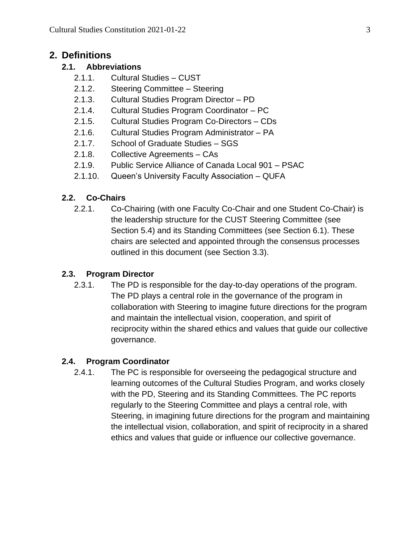#### <span id="page-2-0"></span>**2. Definitions**

#### **2.1. Abbreviations**

- 2.1.1. Cultural Studies CUST
- 2.1.2. Steering Committee Steering
- 2.1.3. Cultural Studies Program Director PD
- 2.1.4. Cultural Studies Program Coordinator PC
- 2.1.5. Cultural Studies Program Co-Directors CDs
- 2.1.6. Cultural Studies Program Administrator PA
- 2.1.7. School of Graduate Studies SGS
- 2.1.8. Collective Agreements CAs
- 2.1.9. Public Service Alliance of Canada Local 901 PSAC
- 2.1.10. Queen's University Faculty Association QUFA

#### **2.2. Co-Chairs**

2.2.1. Co-Chairing (with one Faculty Co-Chair and one Student Co-Chair) is the leadership structure for the CUST Steering Committee (see Section 5.4) and its Standing Committees (see Section 6.1). These chairs are selected and appointed through the consensus processes outlined in this document (see Section 3.3).

#### **2.3. Program Director**

2.3.1. The PD is responsible for the day-to-day operations of the program. The PD plays a central role in the governance of the program in collaboration with Steering to imagine future directions for the program and maintain the intellectual vision, cooperation, and spirit of reciprocity within the shared ethics and values that guide our collective governance.

#### **2.4. Program Coordinator**

2.4.1. The PC is responsible for overseeing the pedagogical structure and learning outcomes of the Cultural Studies Program, and works closely with the PD, Steering and its Standing Committees. The PC reports regularly to the Steering Committee and plays a central role, with Steering, in imagining future directions for the program and maintaining the intellectual vision, collaboration, and spirit of reciprocity in a shared ethics and values that guide or influence our collective governance.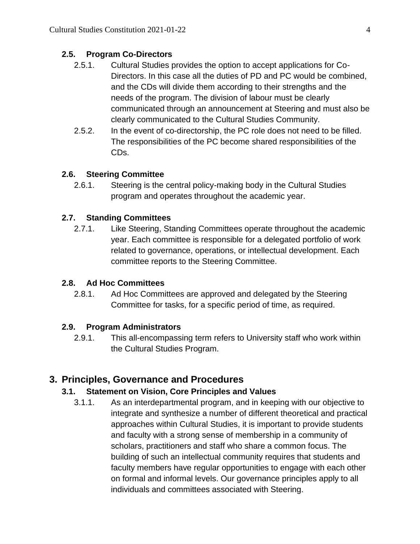#### **2.5. Program Co-Directors**

- 2.5.1. Cultural Studies provides the option to accept applications for Co-Directors. In this case all the duties of PD and PC would be combined, and the CDs will divide them according to their strengths and the needs of the program. The division of labour must be clearly communicated through an announcement at Steering and must also be clearly communicated to the Cultural Studies Community.
- 2.5.2. In the event of co-directorship, the PC role does not need to be filled. The responsibilities of the PC become shared responsibilities of the CDs.

#### **2.6. Steering Committee**

2.6.1. Steering is the central policy-making body in the Cultural Studies program and operates throughout the academic year.

#### **2.7. Standing Committees**

2.7.1. Like Steering, Standing Committees operate throughout the academic year. Each committee is responsible for a delegated portfolio of work related to governance, operations, or intellectual development. Each committee reports to the Steering Committee.

#### **2.8. Ad Hoc Committees**

2.8.1. Ad Hoc Committees are approved and delegated by the Steering Committee for tasks, for a specific period of time, as required.

#### **2.9. Program Administrators**

2.9.1. This all-encompassing term refers to University staff who work within the Cultural Studies Program.

#### <span id="page-3-0"></span>**3. Principles, Governance and Procedures**

#### **3.1. Statement on Vision, Core Principles and Values**

3.1.1. As an interdepartmental program, and in keeping with our objective to integrate and synthesize a number of different theoretical and practical approaches within Cultural Studies, it is important to provide students and faculty with a strong sense of membership in a community of scholars, practitioners and staff who share a common focus. The building of such an intellectual community requires that students and faculty members have regular opportunities to engage with each other on formal and informal levels. Our governance principles apply to all individuals and committees associated with Steering.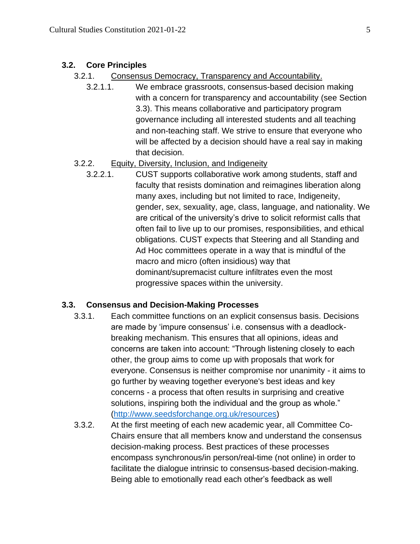#### **3.2. Core Principles**

- 3.2.1. Consensus Democracy, Transparency and Accountability.
	- 3.2.1.1. We embrace grassroots, consensus-based decision making with a concern for transparency and accountability (see Section 3.3). This means collaborative and participatory program governance including all interested students and all teaching and non-teaching staff. We strive to ensure that everyone who will be affected by a decision should have a real say in making that decision.

### 3.2.2. Equity, Diversity, Inclusion, and Indigeneity

3.2.2.1. CUST supports collaborative work among students, staff and faculty that resists domination and reimagines liberation along many axes, including but not limited to race, Indigeneity, gender, sex, sexuality, age, class, language, and nationality. We are critical of the university's drive to solicit reformist calls that often fail to live up to our promises, responsibilities, and ethical obligations. CUST expects that Steering and all Standing and Ad Hoc committees operate in a way that is mindful of the macro and micro (often insidious) way that dominant/supremacist culture infiltrates even the most progressive spaces within the university.

#### **3.3. Consensus and Decision-Making Processes**

- 3.3.1. Each committee functions on an explicit consensus basis. Decisions are made by 'impure consensus' i.e. consensus with a deadlockbreaking mechanism. This ensures that all opinions, ideas and concerns are taken into account: "Through listening closely to each other, the group aims to come up with proposals that work for everyone. Consensus is neither compromise nor unanimity - it aims to go further by weaving together everyone's best ideas and key concerns - a process that often results in surprising and creative solutions, inspiring both the individual and the group as whole." [\(http://www.seedsforchange.org.uk/resources\)](http://www.seedsforchange.org.uk/resources)
- 3.3.2. At the first meeting of each new academic year, all Committee Co-Chairs ensure that all members know and understand the consensus decision-making process. Best practices of these processes encompass synchronous/in person/real-time (not online) in order to facilitate the dialogue intrinsic to consensus-based decision-making. Being able to emotionally read each other's feedback as well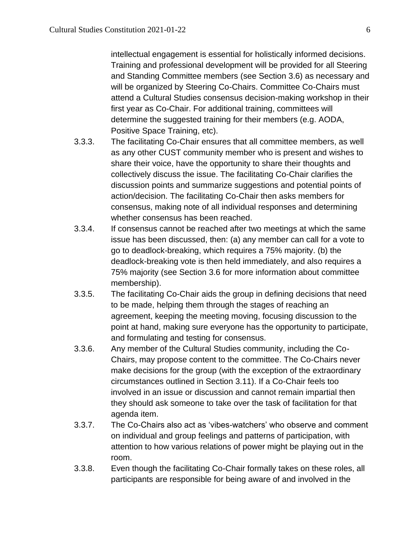intellectual engagement is essential for holistically informed decisions. Training and professional development will be provided for all Steering and Standing Committee members (see Section 3.6) as necessary and will be organized by Steering Co-Chairs. Committee Co-Chairs must attend a Cultural Studies consensus decision-making workshop in their first year as Co-Chair. For additional training, committees will determine the suggested training for their members (e.g. AODA, Positive Space Training, etc).

- 3.3.3. The facilitating Co-Chair ensures that all committee members, as well as any other CUST community member who is present and wishes to share their voice, have the opportunity to share their thoughts and collectively discuss the issue. The facilitating Co-Chair clarifies the discussion points and summarize suggestions and potential points of action/decision. The facilitating Co-Chair then asks members for consensus, making note of all individual responses and determining whether consensus has been reached.
- 3.3.4. If consensus cannot be reached after two meetings at which the same issue has been discussed, then: (a) any member can call for a vote to go to deadlock-breaking, which requires a 75% majority. (b) the deadlock-breaking vote is then held immediately, and also requires a 75% majority (see Section 3.6 for more information about committee membership).
- 3.3.5. The facilitating Co-Chair aids the group in defining decisions that need to be made, helping them through the stages of reaching an agreement, keeping the meeting moving, focusing discussion to the point at hand, making sure everyone has the opportunity to participate, and formulating and testing for consensus.
- 3.3.6. Any member of the Cultural Studies community, including the Co-Chairs, may propose content to the committee. The Co-Chairs never make decisions for the group (with the exception of the extraordinary circumstances outlined in Section 3.11). If a Co-Chair feels too involved in an issue or discussion and cannot remain impartial then they should ask someone to take over the task of facilitation for that agenda item.
- 3.3.7. The Co-Chairs also act as 'vibes-watchers' who observe and comment on individual and group feelings and patterns of participation, with attention to how various relations of power might be playing out in the room.
- 3.3.8. Even though the facilitating Co-Chair formally takes on these roles, all participants are responsible for being aware of and involved in the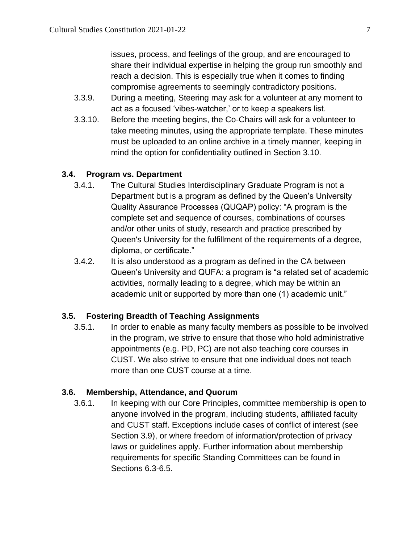issues, process, and feelings of the group, and are encouraged to share their individual expertise in helping the group run smoothly and reach a decision. This is especially true when it comes to finding compromise agreements to seemingly contradictory positions.

- 3.3.9. During a meeting, Steering may ask for a volunteer at any moment to act as a focused 'vibes-watcher,' or to keep a speakers list.
- 3.3.10. Before the meeting begins, the Co-Chairs will ask for a volunteer to take meeting minutes, using the appropriate template. These minutes must be uploaded to an online archive in a timely manner, keeping in mind the option for confidentiality outlined in Section 3.10.

#### **3.4. Program vs. Department**

- 3.4.1. The Cultural Studies Interdisciplinary Graduate Program is not a Department but is a program as defined by the Queen's University Quality Assurance Processes (QUQAP) policy: "A program is the complete set and sequence of courses, combinations of courses and/or other units of study, research and practice prescribed by Queen's University for the fulfillment of the requirements of a degree, diploma, or certificate."
- 3.4.2. It is also understood as a program as defined in the CA between Queen's University and QUFA: a program is "a related set of academic activities, normally leading to a degree, which may be within an academic unit or supported by more than one (1) academic unit."

#### **3.5. Fostering Breadth of Teaching Assignments**

3.5.1. In order to enable as many faculty members as possible to be involved in the program, we strive to ensure that those who hold administrative appointments (e.g. PD, PC) are not also teaching core courses in CUST. We also strive to ensure that one individual does not teach more than one CUST course at a time.

#### **3.6. Membership, Attendance, and Quorum**

3.6.1. In keeping with our Core Principles, committee membership is open to anyone involved in the program, including students, affiliated faculty and CUST staff. Exceptions include cases of conflict of interest (see Section 3.9), or where freedom of information/protection of privacy laws or guidelines apply. Further information about membership requirements for specific Standing Committees can be found in Sections 6.3-6.5.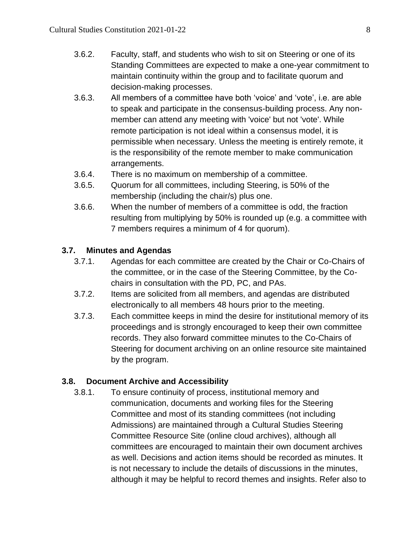- 3.6.2. Faculty, staff, and students who wish to sit on Steering or one of its Standing Committees are expected to make a one-year commitment to maintain continuity within the group and to facilitate quorum and decision-making processes.
- 3.6.3. All members of a committee have both 'voice' and 'vote', i.e. are able to speak and participate in the consensus-building process. Any nonmember can attend any meeting with 'voice' but not 'vote'. While remote participation is not ideal within a consensus model, it is permissible when necessary. Unless the meeting is entirely remote, it is the responsibility of the remote member to make communication arrangements.
- 3.6.4. There is no maximum on membership of a committee.
- 3.6.5. Quorum for all committees, including Steering, is 50% of the membership (including the chair/s) plus one.
- 3.6.6. When the number of members of a committee is odd, the fraction resulting from multiplying by 50% is rounded up (e.g. a committee with 7 members requires a minimum of 4 for quorum).

#### **3.7. Minutes and Agendas**

- 3.7.1. Agendas for each committee are created by the Chair or Co-Chairs of the committee, or in the case of the Steering Committee, by the Cochairs in consultation with the PD, PC, and PAs.
- 3.7.2. Items are solicited from all members, and agendas are distributed electronically to all members 48 hours prior to the meeting.
- 3.7.3. Each committee keeps in mind the desire for institutional memory of its proceedings and is strongly encouraged to keep their own committee records. They also forward committee minutes to the Co-Chairs of Steering for document archiving on an online resource site maintained by the program.

#### **3.8. Document Archive and Accessibility**

3.8.1. To ensure continuity of process, institutional memory and communication, documents and working files for the Steering Committee and most of its standing committees (not including Admissions) are maintained through a Cultural Studies Steering Committee Resource Site (online cloud archives), although all committees are encouraged to maintain their own document archives as well. Decisions and action items should be recorded as minutes. It is not necessary to include the details of discussions in the minutes, although it may be helpful to record themes and insights. Refer also to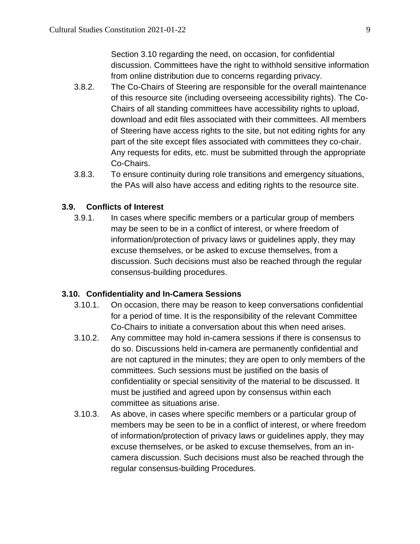Section 3.10 regarding the need, on occasion, for confidential discussion. Committees have the right to withhold sensitive information from online distribution due to concerns regarding privacy.

- 3.8.2. The Co-Chairs of Steering are responsible for the overall maintenance of this resource site (including overseeing accessibility rights). The Co-Chairs of all standing committees have accessibility rights to upload, download and edit files associated with their committees. All members of Steering have access rights to the site, but not editing rights for any part of the site except files associated with committees they co-chair. Any requests for edits, etc. must be submitted through the appropriate Co-Chairs.
- 3.8.3. To ensure continuity during role transitions and emergency situations, the PAs will also have access and editing rights to the resource site.

#### **3.9. Conflicts of Interest**

3.9.1. In cases where specific members or a particular group of members may be seen to be in a conflict of interest, or where freedom of information/protection of privacy laws or guidelines apply, they may excuse themselves, or be asked to excuse themselves, from a discussion. Such decisions must also be reached through the regular consensus-building procedures.

#### **3.10. Confidentiality and In-Camera Sessions**

- 3.10.1. On occasion, there may be reason to keep conversations confidential for a period of time. It is the responsibility of the relevant Committee Co-Chairs to initiate a conversation about this when need arises.
- 3.10.2. Any committee may hold in-camera sessions if there is consensus to do so. Discussions held in-camera are permanently confidential and are not captured in the minutes; they are open to only members of the committees. Such sessions must be justified on the basis of confidentiality or special sensitivity of the material to be discussed. It must be justified and agreed upon by consensus within each committee as situations arise.
- 3.10.3. As above, in cases where specific members or a particular group of members may be seen to be in a conflict of interest, or where freedom of information/protection of privacy laws or guidelines apply, they may excuse themselves, or be asked to excuse themselves, from an incamera discussion. Such decisions must also be reached through the regular consensus-building Procedures.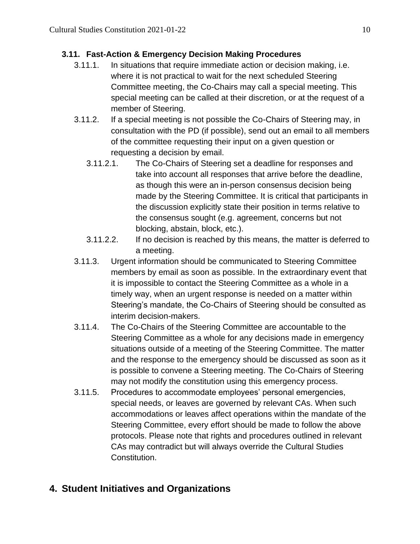## **3.11. Fast-Action & Emergency Decision Making Procedures**

- 3.11.1. In situations that require immediate action or decision making, i.e. where it is not practical to wait for the next scheduled Steering Committee meeting, the Co-Chairs may call a special meeting. This special meeting can be called at their discretion, or at the request of a member of Steering.
- 3.11.2. If a special meeting is not possible the Co-Chairs of Steering may, in consultation with the PD (if possible), send out an email to all members of the committee requesting their input on a given question or requesting a decision by email.
	- 3.11.2.1. The Co-Chairs of Steering set a deadline for responses and take into account all responses that arrive before the deadline, as though this were an in-person consensus decision being made by the Steering Committee. It is critical that participants in the discussion explicitly state their position in terms relative to the consensus sought (e.g. agreement, concerns but not blocking, abstain, block, etc.).
	- 3.11.2.2. If no decision is reached by this means, the matter is deferred to a meeting.
- 3.11.3. Urgent information should be communicated to Steering Committee members by email as soon as possible. In the extraordinary event that it is impossible to contact the Steering Committee as a whole in a timely way, when an urgent response is needed on a matter within Steering's mandate, the Co-Chairs of Steering should be consulted as interim decision-makers.
- 3.11.4. The Co-Chairs of the Steering Committee are accountable to the Steering Committee as a whole for any decisions made in emergency situations outside of a meeting of the Steering Committee. The matter and the response to the emergency should be discussed as soon as it is possible to convene a Steering meeting. The Co-Chairs of Steering may not modify the constitution using this emergency process.
- 3.11.5. Procedures to accommodate employees' personal emergencies, special needs, or leaves are governed by relevant CAs. When such accommodations or leaves affect operations within the mandate of the Steering Committee, every effort should be made to follow the above protocols. Please note that rights and procedures outlined in relevant CAs may contradict but will always override the Cultural Studies Constitution.

# <span id="page-9-0"></span>**4. Student Initiatives and Organizations**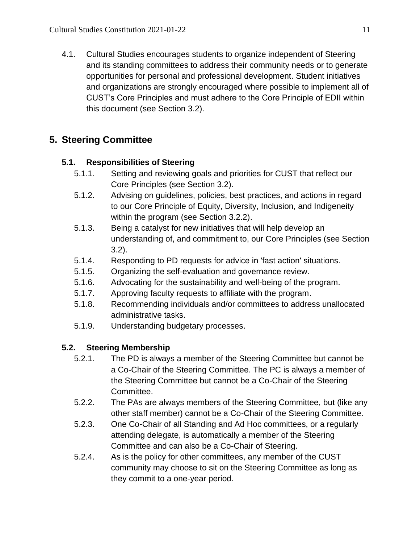4.1. Cultural Studies encourages students to organize independent of Steering and its standing committees to address their community needs or to generate opportunities for personal and professional development. Student initiatives and organizations are strongly encouraged where possible to implement all of CUST's Core Principles and must adhere to the Core Principle of EDII within this document (see Section 3.2).

# <span id="page-10-0"></span>**5. Steering Committee**

## **5.1. Responsibilities of Steering**

- 5.1.1. Setting and reviewing goals and priorities for CUST that reflect our Core Principles (see Section 3.2).
- 5.1.2. Advising on guidelines, policies, best practices, and actions in regard to our Core Principle of Equity, Diversity, Inclusion, and Indigeneity within the program (see Section 3.2.2).
- 5.1.3. Being a catalyst for new initiatives that will help develop an understanding of, and commitment to, our Core Principles (see Section 3.2).
- 5.1.4. Responding to PD requests for advice in 'fast action' situations.
- 5.1.5. Organizing the self-evaluation and governance review.
- 5.1.6. Advocating for the sustainability and well-being of the program.
- 5.1.7. Approving faculty requests to affiliate with the program.
- 5.1.8. Recommending individuals and/or committees to address unallocated administrative tasks.
- 5.1.9. Understanding budgetary processes.

# **5.2. Steering Membership**

- 5.2.1. The PD is always a member of the Steering Committee but cannot be a Co-Chair of the Steering Committee. The PC is always a member of the Steering Committee but cannot be a Co-Chair of the Steering Committee.
- 5.2.2. The PAs are always members of the Steering Committee, but (like any other staff member) cannot be a Co-Chair of the Steering Committee.
- 5.2.3. One Co-Chair of all Standing and Ad Hoc committees, or a regularly attending delegate, is automatically a member of the Steering Committee and can also be a Co-Chair of Steering.
- 5.2.4. As is the policy for other committees, any member of the CUST community may choose to sit on the Steering Committee as long as they commit to a one-year period.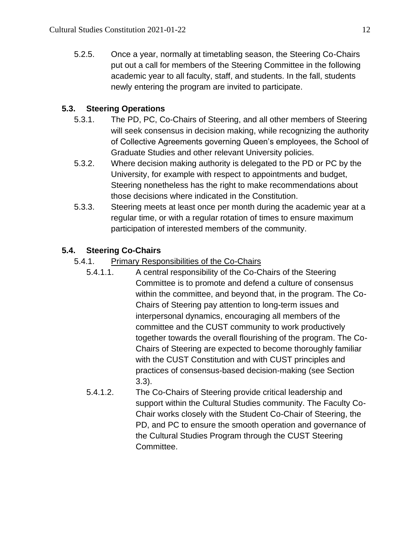5.2.5. Once a year, normally at timetabling season, the Steering Co-Chairs put out a call for members of the Steering Committee in the following academic year to all faculty, staff, and students. In the fall, students newly entering the program are invited to participate.

## **5.3. Steering Operations**

- 5.3.1. The PD, PC, Co-Chairs of Steering, and all other members of Steering will seek consensus in decision making, while recognizing the authority of Collective Agreements governing Queen's employees, the School of Graduate Studies and other relevant University policies.
- 5.3.2. Where decision making authority is delegated to the PD or PC by the University, for example with respect to appointments and budget, Steering nonetheless has the right to make recommendations about those decisions where indicated in the Constitution.
- 5.3.3. Steering meets at least once per month during the academic year at a regular time, or with a regular rotation of times to ensure maximum participation of interested members of the community.

## **5.4. Steering Co-Chairs**

- 5.4.1. Primary Responsibilities of the Co-Chairs
	- 5.4.1.1. A central responsibility of the Co-Chairs of the Steering Committee is to promote and defend a culture of consensus within the committee, and beyond that, in the program. The Co-Chairs of Steering pay attention to long-term issues and interpersonal dynamics, encouraging all members of the committee and the CUST community to work productively together towards the overall flourishing of the program. The Co-Chairs of Steering are expected to become thoroughly familiar with the CUST Constitution and with CUST principles and practices of consensus-based decision-making (see Section 3.3).
	- 5.4.1.2. The Co-Chairs of Steering provide critical leadership and support within the Cultural Studies community. The Faculty Co-Chair works closely with the Student Co-Chair of Steering, the PD, and PC to ensure the smooth operation and governance of the Cultural Studies Program through the CUST Steering Committee.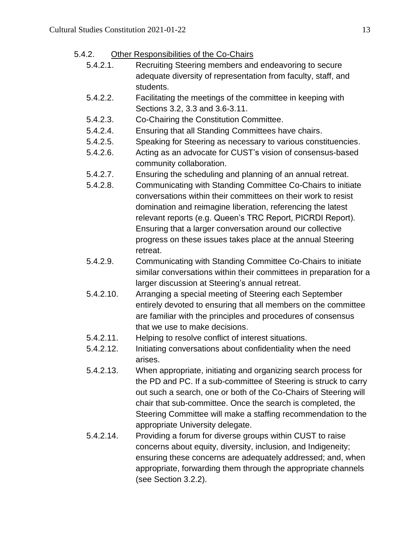#### 5.4.2. Other Responsibilities of the Co-Chairs

- 5.4.2.1. Recruiting Steering members and endeavoring to secure adequate diversity of representation from faculty, staff, and students.
- 5.4.2.2. Facilitating the meetings of the committee in keeping with Sections 3.2, 3.3 and 3.6-3.11.
- 5.4.2.3. Co-Chairing the Constitution Committee.
- 5.4.2.4. Ensuring that all Standing Committees have chairs.
- 5.4.2.5. Speaking for Steering as necessary to various constituencies.
- 5.4.2.6. Acting as an advocate for CUST's vision of consensus-based community collaboration.
- 5.4.2.7. Ensuring the scheduling and planning of an annual retreat.
- 5.4.2.8. Communicating with Standing Committee Co-Chairs to initiate conversations within their committees on their work to resist domination and reimagine liberation, referencing the latest relevant reports (e.g. Queen's TRC Report, PICRDI Report). Ensuring that a larger conversation around our collective progress on these issues takes place at the annual Steering retreat.
- 5.4.2.9. Communicating with Standing Committee Co-Chairs to initiate similar conversations within their committees in preparation for a larger discussion at Steering's annual retreat.
- 5.4.2.10. Arranging a special meeting of Steering each September entirely devoted to ensuring that all members on the committee are familiar with the principles and procedures of consensus that we use to make decisions.
- 5.4.2.11. Helping to resolve conflict of interest situations.
- 5.4.2.12. Initiating conversations about confidentiality when the need arises.
- 5.4.2.13. When appropriate, initiating and organizing search process for the PD and PC. If a sub-committee of Steering is struck to carry out such a search, one or both of the Co-Chairs of Steering will chair that sub-committee. Once the search is completed, the Steering Committee will make a staffing recommendation to the appropriate University delegate.
- 5.4.2.14. Providing a forum for diverse groups within CUST to raise concerns about equity, diversity, inclusion, and Indigeneity; ensuring these concerns are adequately addressed; and, when appropriate, forwarding them through the appropriate channels (see Section 3.2.2).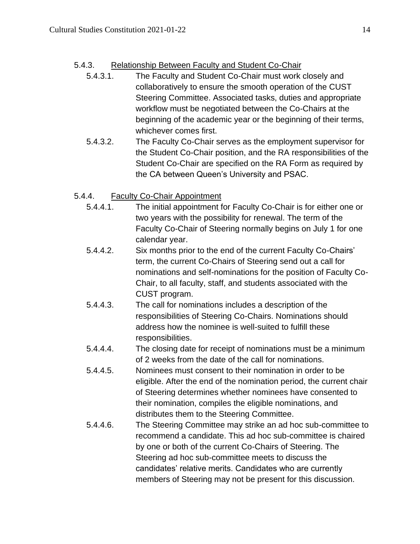## 5.4.3. Relationship Between Faculty and Student Co-Chair

- 5.4.3.1. The Faculty and Student Co-Chair must work closely and collaboratively to ensure the smooth operation of the CUST Steering Committee. Associated tasks, duties and appropriate workflow must be negotiated between the Co-Chairs at the beginning of the academic year or the beginning of their terms, whichever comes first.
- 5.4.3.2. The Faculty Co-Chair serves as the employment supervisor for the Student Co-Chair position, and the RA responsibilities of the Student Co-Chair are specified on the RA Form as required by the CA between Queen's University and PSAC.

## 5.4.4. Faculty Co-Chair Appointment

- 5.4.4.1. The initial appointment for Faculty Co-Chair is for either one or two years with the possibility for renewal. The term of the Faculty Co-Chair of Steering normally begins on July 1 for one calendar year.
- 5.4.4.2. Six months prior to the end of the current Faculty Co-Chairs' term, the current Co-Chairs of Steering send out a call for nominations and self-nominations for the position of Faculty Co-Chair, to all faculty, staff, and students associated with the CUST program.
- 5.4.4.3. The call for nominations includes a description of the responsibilities of Steering Co-Chairs. Nominations should address how the nominee is well-suited to fulfill these responsibilities.
- 5.4.4.4. The closing date for receipt of nominations must be a minimum of 2 weeks from the date of the call for nominations.
- 5.4.4.5. Nominees must consent to their nomination in order to be eligible. After the end of the nomination period, the current chair of Steering determines whether nominees have consented to their nomination, compiles the eligible nominations, and distributes them to the Steering Committee.
- 5.4.4.6. The Steering Committee may strike an ad hoc sub-committee to recommend a candidate. This ad hoc sub-committee is chaired by one or both of the current Co-Chairs of Steering. The Steering ad hoc sub-committee meets to discuss the candidates' relative merits. Candidates who are currently members of Steering may not be present for this discussion.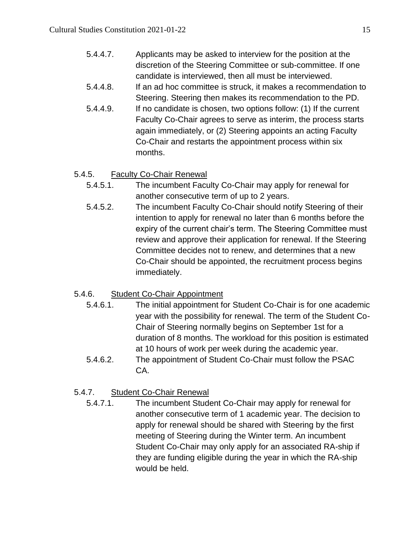| 5.4.4.7. | Applicants may be asked to interview for the position at the  |
|----------|---------------------------------------------------------------|
|          | discretion of the Steering Committee or sub-committee. If one |
|          | candidate is interviewed, then all must be interviewed.       |

- 5.4.4.8. If an ad hoc committee is struck, it makes a recommendation to Steering. Steering then makes its recommendation to the PD.
- 5.4.4.9. If no candidate is chosen, two options follow: (1) If the current Faculty Co-Chair agrees to serve as interim, the process starts again immediately, or (2) Steering appoints an acting Faculty Co-Chair and restarts the appointment process within six months.

## 5.4.5. Faculty Co-Chair Renewal

- 5.4.5.1. The incumbent Faculty Co-Chair may apply for renewal for another consecutive term of up to 2 years.
- 5.4.5.2. The incumbent Faculty Co-Chair should notify Steering of their intention to apply for renewal no later than 6 months before the expiry of the current chair's term. The Steering Committee must review and approve their application for renewal. If the Steering Committee decides not to renew, and determines that a new Co-Chair should be appointed, the recruitment process begins immediately.

# 5.4.6. Student Co-Chair Appointment

- 5.4.6.1. The initial appointment for Student Co-Chair is for one academic year with the possibility for renewal. The term of the Student Co-Chair of Steering normally begins on September 1st for a duration of 8 months. The workload for this position is estimated at 10 hours of work per week during the academic year.
- 5.4.6.2. The appointment of Student Co-Chair must follow the PSAC CA.

## 5.4.7. Student Co-Chair Renewal

5.4.7.1. The incumbent Student Co-Chair may apply for renewal for another consecutive term of 1 academic year. The decision to apply for renewal should be shared with Steering by the first meeting of Steering during the Winter term. An incumbent Student Co-Chair may only apply for an associated RA-ship if they are funding eligible during the year in which the RA-ship would be held.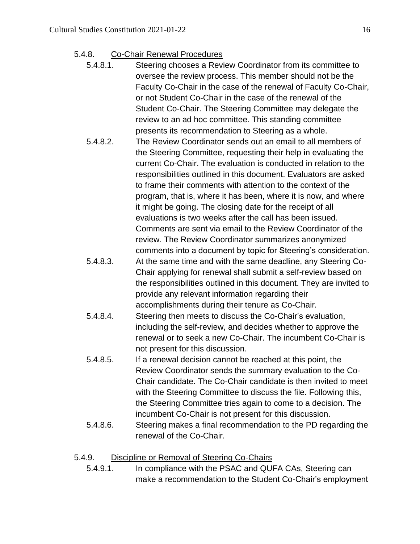- 5.4.8. Co-Chair Renewal Procedures
	- 5.4.8.1. Steering chooses a Review Coordinator from its committee to oversee the review process. This member should not be the Faculty Co-Chair in the case of the renewal of Faculty Co-Chair, or not Student Co-Chair in the case of the renewal of the Student Co-Chair. The Steering Committee may delegate the review to an ad hoc committee. This standing committee presents its recommendation to Steering as a whole.
	- 5.4.8.2. The Review Coordinator sends out an email to all members of the Steering Committee, requesting their help in evaluating the current Co-Chair. The evaluation is conducted in relation to the responsibilities outlined in this document. Evaluators are asked to frame their comments with attention to the context of the program, that is, where it has been, where it is now, and where it might be going. The closing date for the receipt of all evaluations is two weeks after the call has been issued. Comments are sent via email to the Review Coordinator of the review. The Review Coordinator summarizes anonymized comments into a document by topic for Steering's consideration.
	- 5.4.8.3. At the same time and with the same deadline, any Steering Co-Chair applying for renewal shall submit a self-review based on the responsibilities outlined in this document. They are invited to provide any relevant information regarding their accomplishments during their tenure as Co-Chair.
	- 5.4.8.4. Steering then meets to discuss the Co-Chair's evaluation, including the self-review, and decides whether to approve the renewal or to seek a new Co-Chair. The incumbent Co-Chair is not present for this discussion.
	- 5.4.8.5. If a renewal decision cannot be reached at this point, the Review Coordinator sends the summary evaluation to the Co-Chair candidate. The Co-Chair candidate is then invited to meet with the Steering Committee to discuss the file. Following this, the Steering Committee tries again to come to a decision. The incumbent Co-Chair is not present for this discussion.
	- 5.4.8.6. Steering makes a final recommendation to the PD regarding the renewal of the Co-Chair.

#### 5.4.9. Discipline or Removal of Steering Co-Chairs

5.4.9.1. In compliance with the PSAC and QUFA CAs, Steering can make a recommendation to the Student Co-Chair's employment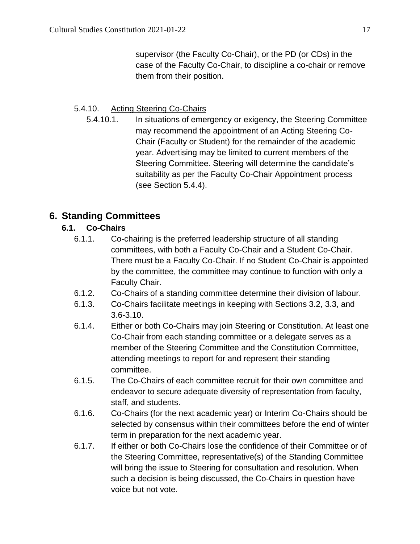supervisor (the Faculty Co-Chair), or the PD (or CDs) in the case of the Faculty Co-Chair, to discipline a co-chair or remove them from their position.

## 5.4.10. Acting Steering Co-Chairs

5.4.10.1. In situations of emergency or exigency, the Steering Committee may recommend the appointment of an Acting Steering Co-Chair (Faculty or Student) for the remainder of the academic year. Advertising may be limited to current members of the Steering Committee. Steering will determine the candidate's suitability as per the Faculty Co-Chair Appointment process (see Section 5.4.4).

# <span id="page-16-0"></span>**6. Standing Committees**

## **6.1. Co-Chairs**

- 6.1.1. Co-chairing is the preferred leadership structure of all standing committees, with both a Faculty Co-Chair and a Student Co-Chair. There must be a Faculty Co-Chair. If no Student Co-Chair is appointed by the committee, the committee may continue to function with only a Faculty Chair.
- 6.1.2. Co-Chairs of a standing committee determine their division of labour.
- 6.1.3. Co-Chairs facilitate meetings in keeping with Sections 3.2, 3.3, and 3.6-3.10.
- 6.1.4. Either or both Co-Chairs may join Steering or Constitution. At least one Co-Chair from each standing committee or a delegate serves as a member of the Steering Committee and the Constitution Committee, attending meetings to report for and represent their standing committee.
- 6.1.5. The Co-Chairs of each committee recruit for their own committee and endeavor to secure adequate diversity of representation from faculty, staff, and students.
- 6.1.6. Co-Chairs (for the next academic year) or Interim Co-Chairs should be selected by consensus within their committees before the end of winter term in preparation for the next academic year.
- 6.1.7. If either or both Co-Chairs lose the confidence of their Committee or of the Steering Committee, representative(s) of the Standing Committee will bring the issue to Steering for consultation and resolution. When such a decision is being discussed, the Co-Chairs in question have voice but not vote.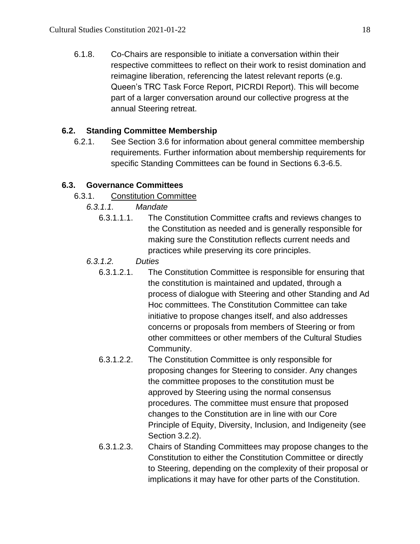6.1.8. Co-Chairs are responsible to initiate a conversation within their respective committees to reflect on their work to resist domination and reimagine liberation, referencing the latest relevant reports (e.g. Queen's TRC Task Force Report, PICRDI Report). This will become part of a larger conversation around our collective progress at the annual Steering retreat.

## **6.2. Standing Committee Membership**

6.2.1. See Section 3.6 for information about general committee membership requirements. Further information about membership requirements for specific Standing Committees can be found in Sections 6.3-6.5.

## **6.3. Governance Committees**

- 6.3.1. Constitution Committee
	- *6.3.1.1. Mandate*
		- 6.3.1.1.1. The Constitution Committee crafts and reviews changes to the Constitution as needed and is generally responsible for making sure the Constitution reflects current needs and practices while preserving its core principles.
	- *6.3.1.2. Duties*
		- 6.3.1.2.1. The Constitution Committee is responsible for ensuring that the constitution is maintained and updated, through a process of dialogue with Steering and other Standing and Ad Hoc committees. The Constitution Committee can take initiative to propose changes itself, and also addresses concerns or proposals from members of Steering or from other committees or other members of the Cultural Studies Community.
		- 6.3.1.2.2. The Constitution Committee is only responsible for proposing changes for Steering to consider. Any changes the committee proposes to the constitution must be approved by Steering using the normal consensus procedures. The committee must ensure that proposed changes to the Constitution are in line with our Core Principle of Equity, Diversity, Inclusion, and Indigeneity (see Section 3.2.2).
		- 6.3.1.2.3. Chairs of Standing Committees may propose changes to the Constitution to either the Constitution Committee or directly to Steering, depending on the complexity of their proposal or implications it may have for other parts of the Constitution.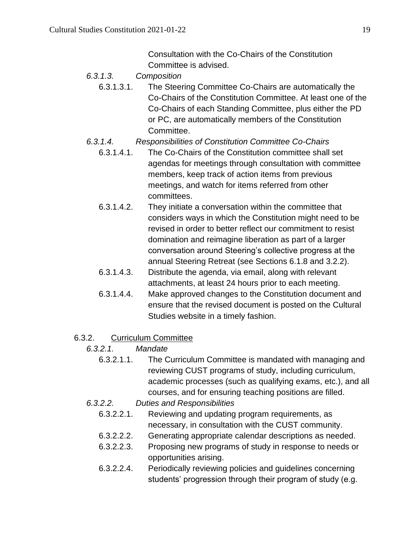Consultation with the Co-Chairs of the Constitution Committee is advised.

- *6.3.1.3. Composition*
	- 6.3.1.3.1. The Steering Committee Co-Chairs are automatically the Co-Chairs of the Constitution Committee. At least one of the Co-Chairs of each Standing Committee, plus either the PD or PC, are automatically members of the Constitution Committee.
- *6.3.1.4. Responsibilities of Constitution Committee Co-Chairs*
	- 6.3.1.4.1. The Co-Chairs of the Constitution committee shall set agendas for meetings through consultation with committee members, keep track of action items from previous meetings, and watch for items referred from other committees.
	- 6.3.1.4.2. They initiate a conversation within the committee that considers ways in which the Constitution might need to be revised in order to better reflect our commitment to resist domination and reimagine liberation as part of a larger conversation around Steering's collective progress at the annual Steering Retreat (see Sections 6.1.8 and 3.2.2).
	- 6.3.1.4.3. Distribute the agenda, via email, along with relevant attachments, at least 24 hours prior to each meeting.
	- 6.3.1.4.4. Make approved changes to the Constitution document and ensure that the revised document is posted on the Cultural Studies website in a timely fashion.
- 6.3.2. Curriculum Committee
	- *6.3.2.1. Mandate*
		- 6.3.2.1.1. The Curriculum Committee is mandated with managing and reviewing CUST programs of study, including curriculum, academic processes (such as qualifying exams, etc.), and all courses, and for ensuring teaching positions are filled.
	- *6.3.2.2. Duties and Responsibilities*
		- 6.3.2.2.1. Reviewing and updating program requirements, as necessary, in consultation with the CUST community.
		- 6.3.2.2.2. Generating appropriate calendar descriptions as needed.
		- 6.3.2.2.3. Proposing new programs of study in response to needs or opportunities arising.
		- 6.3.2.2.4. Periodically reviewing policies and guidelines concerning students' progression through their program of study (e.g.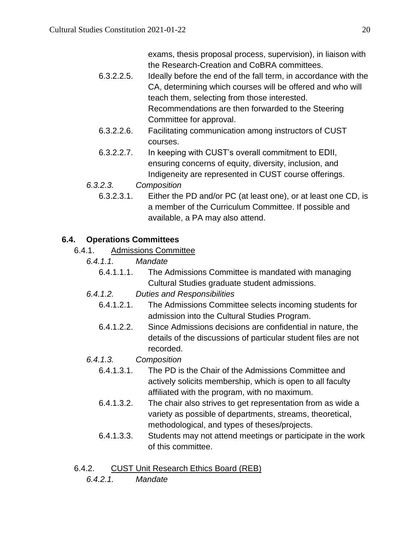exams, thesis proposal process, supervision), in liaison with the Research-Creation and CoBRA committees.

- 6.3.2.2.5. Ideally before the end of the fall term, in accordance with the CA, determining which courses will be offered and who will teach them, selecting from those interested. Recommendations are then forwarded to the Steering Committee for approval.
- 6.3.2.2.6. Facilitating communication among instructors of CUST courses.
- 6.3.2.2.7. In keeping with CUST's overall commitment to EDII, ensuring concerns of equity, diversity, inclusion, and Indigeneity are represented in CUST course offerings.
- *6.3.2.3. Composition*
	- 6.3.2.3.1. Either the PD and/or PC (at least one), or at least one CD, is a member of the Curriculum Committee. If possible and available, a PA may also attend.

#### **6.4. Operations Committees**

- 6.4.1. Admissions Committee
	- *6.4.1.1. Mandate*
		- 6.4.1.1.1. The Admissions Committee is mandated with managing Cultural Studies graduate student admissions.
	- *6.4.1.2. Duties and Responsibilities*
		- 6.4.1.2.1. The Admissions Committee selects incoming students for admission into the Cultural Studies Program.
		- 6.4.1.2.2. Since Admissions decisions are confidential in nature, the details of the discussions of particular student files are not recorded.
	- *6.4.1.3. Composition*
		- 6.4.1.3.1. The PD is the Chair of the Admissions Committee and actively solicits membership, which is open to all faculty affiliated with the program, with no maximum.
		- 6.4.1.3.2. The chair also strives to get representation from as wide a variety as possible of departments, streams, theoretical, methodological, and types of theses/projects.
		- 6.4.1.3.3. Students may not attend meetings or participate in the work of this committee.
- 6.4.2. CUST Unit Research Ethics Board (REB)
	- *6.4.2.1. Mandate*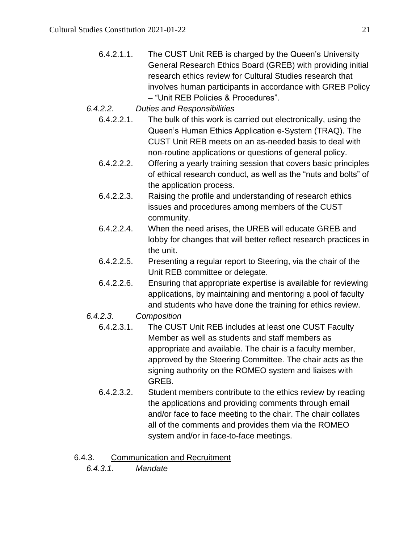- 6.4.2.1.1. The CUST Unit REB is charged by the Queen's University General Research Ethics Board (GREB) with providing initial research ethics review for Cultural Studies research that involves human participants in accordance with GREB Policy – "Unit REB Policies & Procedures".
- *6.4.2.2. Duties and Responsibilities*
	- 6.4.2.2.1. The bulk of this work is carried out electronically, using the Queen's Human Ethics Application e-System (TRAQ). The CUST Unit REB meets on an as-needed basis to deal with non-routine applications or questions of general policy.
	- 6.4.2.2.2. Offering a yearly training session that covers basic principles of ethical research conduct, as well as the "nuts and bolts" of the application process.
	- 6.4.2.2.3. Raising the profile and understanding of research ethics issues and procedures among members of the CUST community.
	- 6.4.2.2.4. When the need arises, the UREB will educate GREB and lobby for changes that will better reflect research practices in the unit.
	- 6.4.2.2.5. Presenting a regular report to Steering, via the chair of the Unit REB committee or delegate.
	- 6.4.2.2.6. Ensuring that appropriate expertise is available for reviewing applications, by maintaining and mentoring a pool of faculty and students who have done the training for ethics review.
- *6.4.2.3. Composition*
	- 6.4.2.3.1. The CUST Unit REB includes at least one CUST Faculty Member as well as students and staff members as appropriate and available. The chair is a faculty member, approved by the Steering Committee. The chair acts as the signing authority on the ROMEO system and liaises with GREB.
	- 6.4.2.3.2. Student members contribute to the ethics review by reading the applications and providing comments through email and/or face to face meeting to the chair. The chair collates all of the comments and provides them via the ROMEO system and/or in face-to-face meetings.
- 6.4.3. Communication and Recruitment
	- *6.4.3.1. Mandate*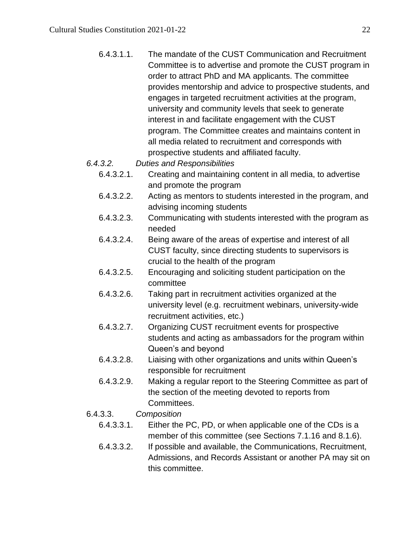- 6.4.3.1.1. The mandate of the CUST Communication and Recruitment Committee is to advertise and promote the CUST program in order to attract PhD and MA applicants. The committee provides mentorship and advice to prospective students, and engages in targeted recruitment activities at the program, university and community levels that seek to generate interest in and facilitate engagement with the CUST program. The Committee creates and maintains content in all media related to recruitment and corresponds with prospective students and affiliated faculty.
- *6.4.3.2. Duties and Responsibilities*
	- 6.4.3.2.1. Creating and maintaining content in all media, to advertise and promote the program
	- 6.4.3.2.2. Acting as mentors to students interested in the program, and advising incoming students
	- 6.4.3.2.3. Communicating with students interested with the program as needed
	- 6.4.3.2.4. Being aware of the areas of expertise and interest of all CUST faculty, since directing students to supervisors is crucial to the health of the program
	- 6.4.3.2.5. Encouraging and soliciting student participation on the committee
	- 6.4.3.2.6. Taking part in recruitment activities organized at the university level (e.g. recruitment webinars, university-wide recruitment activities, etc.)
	- 6.4.3.2.7. Organizing CUST recruitment events for prospective students and acting as ambassadors for the program within Queen's and beyond
	- 6.4.3.2.8. Liaising with other organizations and units within Queen's responsible for recruitment
	- 6.4.3.2.9. Making a regular report to the Steering Committee as part of the section of the meeting devoted to reports from Committees.
- 6.4.3.3. *Composition*
	- 6.4.3.3.1. Either the PC, PD, or when applicable one of the CDs is a member of this committee (see Sections 7.1.16 and 8.1.6).
	- 6.4.3.3.2. If possible and available, the Communications, Recruitment, Admissions, and Records Assistant or another PA may sit on this committee.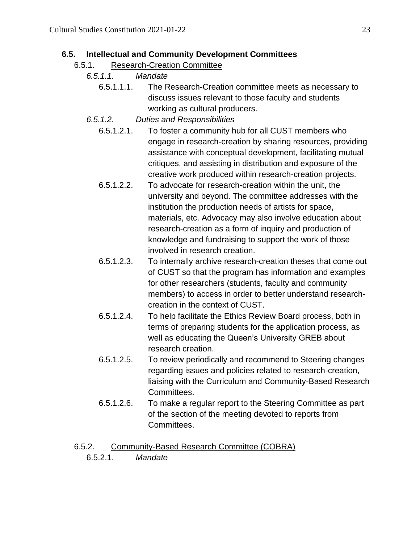#### **6.5. Intellectual and Community Development Committees**

#### 6.5.1. Research-Creation Committee

- *6.5.1.1. Mandate*
	- 6.5.1.1.1. The Research-Creation committee meets as necessary to discuss issues relevant to those faculty and students working as cultural producers.
- *6.5.1.2. Duties and Responsibilities*
	- 6.5.1.2.1. To foster a community hub for all CUST members who engage in research-creation by sharing resources, providing assistance with conceptual development, facilitating mutual critiques, and assisting in distribution and exposure of the creative work produced within research-creation projects.
	- 6.5.1.2.2. To advocate for research-creation within the unit, the university and beyond. The committee addresses with the institution the production needs of artists for space, materials, etc. Advocacy may also involve education about research-creation as a form of inquiry and production of knowledge and fundraising to support the work of those involved in research creation.
	- 6.5.1.2.3. To internally archive research-creation theses that come out of CUST so that the program has information and examples for other researchers (students, faculty and community members) to access in order to better understand researchcreation in the context of CUST.
	- 6.5.1.2.4. To help facilitate the Ethics Review Board process, both in terms of preparing students for the application process, as well as educating the Queen's University GREB about research creation.
	- 6.5.1.2.5. To review periodically and recommend to Steering changes regarding issues and policies related to research-creation, liaising with the Curriculum and Community-Based Research Committees.
	- 6.5.1.2.6. To make a regular report to the Steering Committee as part of the section of the meeting devoted to reports from Committees.

#### 6.5.2. Community-Based Research Committee (COBRA)

6.5.2.1. *Mandate*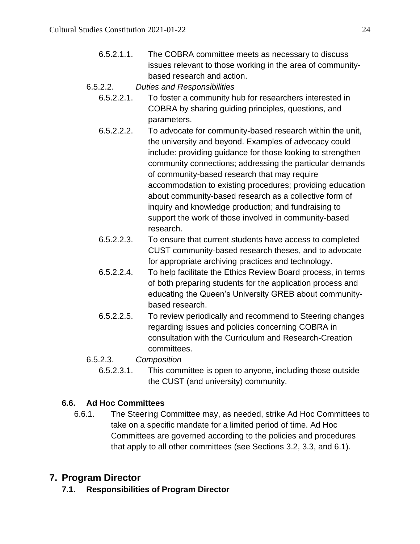- 6.5.2.1.1. The COBRA committee meets as necessary to discuss issues relevant to those working in the area of communitybased research and action.
- 6.5.2.2. *Duties and Responsibilities*
	- 6.5.2.2.1. To foster a community hub for researchers interested in COBRA by sharing guiding principles, questions, and parameters.
	- 6.5.2.2.2. To advocate for community-based research within the unit, the university and beyond. Examples of advocacy could include: providing guidance for those looking to strengthen community connections; addressing the particular demands of community-based research that may require accommodation to existing procedures; providing education about community-based research as a collective form of inquiry and knowledge production; and fundraising to support the work of those involved in community-based research.
	- 6.5.2.2.3. To ensure that current students have access to completed CUST community-based research theses, and to advocate for appropriate archiving practices and technology.
	- 6.5.2.2.4. To help facilitate the Ethics Review Board process, in terms of both preparing students for the application process and educating the Queen's University GREB about communitybased research.
	- 6.5.2.2.5. To review periodically and recommend to Steering changes regarding issues and policies concerning COBRA in consultation with the Curriculum and Research-Creation committees.
- 6.5.2.3. *Composition*
	- 6.5.2.3.1. This committee is open to anyone, including those outside the CUST (and university) community.

# **6.6. Ad Hoc Committees**

6.6.1. The Steering Committee may, as needed, strike Ad Hoc Committees to take on a specific mandate for a limited period of time. Ad Hoc Committees are governed according to the policies and procedures that apply to all other committees (see Sections 3.2, 3.3, and 6.1).

# <span id="page-23-0"></span>**7. Program Director**

**7.1. Responsibilities of Program Director**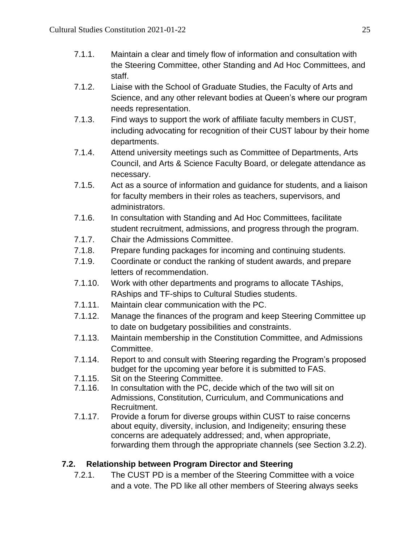- 7.1.1. Maintain a clear and timely flow of information and consultation with the Steering Committee, other Standing and Ad Hoc Committees, and staff.
- 7.1.2. Liaise with the School of Graduate Studies, the Faculty of Arts and Science, and any other relevant bodies at Queen's where our program needs representation.
- 7.1.3. Find ways to support the work of affiliate faculty members in CUST, including advocating for recognition of their CUST labour by their home departments.
- 7.1.4. Attend university meetings such as Committee of Departments, Arts Council, and Arts & Science Faculty Board, or delegate attendance as necessary.
- 7.1.5. Act as a source of information and guidance for students, and a liaison for faculty members in their roles as teachers, supervisors, and administrators.
- 7.1.6. In consultation with Standing and Ad Hoc Committees, facilitate student recruitment, admissions, and progress through the program.
- 7.1.7. Chair the Admissions Committee.
- 7.1.8. Prepare funding packages for incoming and continuing students.
- 7.1.9. Coordinate or conduct the ranking of student awards, and prepare letters of recommendation.
- 7.1.10. Work with other departments and programs to allocate TAships, RAships and TF-ships to Cultural Studies students.
- 7.1.11. Maintain clear communication with the PC.
- 7.1.12. Manage the finances of the program and keep Steering Committee up to date on budgetary possibilities and constraints.
- 7.1.13. Maintain membership in the Constitution Committee, and Admissions Committee.
- 7.1.14. Report to and consult with Steering regarding the Program's proposed budget for the upcoming year before it is submitted to FAS.
- 7.1.15. Sit on the Steering Committee.
- 7.1.16. In consultation with the PC, decide which of the two will sit on Admissions, Constitution, Curriculum, and Communications and Recruitment.
- 7.1.17. Provide a forum for diverse groups within CUST to raise concerns about equity, diversity, inclusion, and Indigeneity; ensuring these concerns are adequately addressed; and, when appropriate, forwarding them through the appropriate channels (see Section 3.2.2).

# **7.2. Relationship between Program Director and Steering**

7.2.1. The CUST PD is a member of the Steering Committee with a voice and a vote. The PD like all other members of Steering always seeks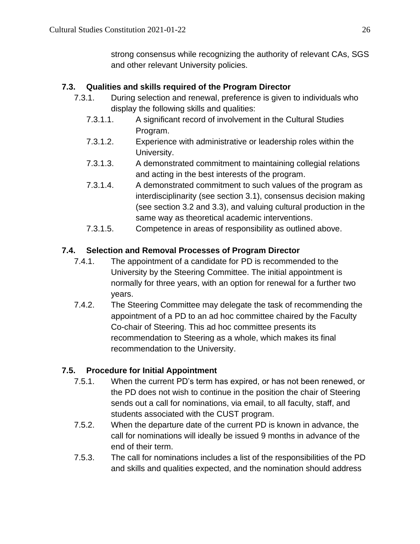strong consensus while recognizing the authority of relevant CAs, SGS and other relevant University policies.

### **7.3. Qualities and skills required of the Program Director**

- 7.3.1. During selection and renewal, preference is given to individuals who display the following skills and qualities:
	- 7.3.1.1. A significant record of involvement in the Cultural Studies Program.
	- 7.3.1.2. Experience with administrative or leadership roles within the University.
	- 7.3.1.3. A demonstrated commitment to maintaining collegial relations and acting in the best interests of the program.
	- 7.3.1.4. A demonstrated commitment to such values of the program as interdisciplinarity (see section 3.1), consensus decision making (see section 3.2 and 3.3), and valuing cultural production in the same way as theoretical academic interventions.
	- 7.3.1.5. Competence in areas of responsibility as outlined above.

### **7.4. Selection and Removal Processes of Program Director**

- 7.4.1. The appointment of a candidate for PD is recommended to the University by the Steering Committee. The initial appointment is normally for three years, with an option for renewal for a further two years.
- 7.4.2. The Steering Committee may delegate the task of recommending the appointment of a PD to an ad hoc committee chaired by the Faculty Co-chair of Steering. This ad hoc committee presents its recommendation to Steering as a whole, which makes its final recommendation to the University.

## **7.5. Procedure for Initial Appointment**

- 7.5.1. When the current PD's term has expired, or has not been renewed, or the PD does not wish to continue in the position the chair of Steering sends out a call for nominations, via email, to all faculty, staff, and students associated with the CUST program.
- 7.5.2. When the departure date of the current PD is known in advance, the call for nominations will ideally be issued 9 months in advance of the end of their term.
- 7.5.3. The call for nominations includes a list of the responsibilities of the PD and skills and qualities expected, and the nomination should address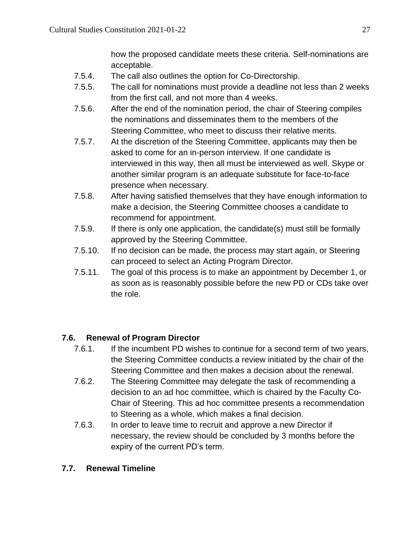how the proposed candidate meets these criteria. Self-nominations are acceptable.

- 7.5.4. The call also outlines the option for Co-Directorship.
- 7.5.5. The call for nominations must provide a deadline not less than 2 weeks from the first call, and not more than 4 weeks.
- 7.5.6. After the end of the nomination period, the chair of Steering compiles the nominations and disseminates them to the members of the Steering Committee, who meet to discuss their relative merits.
- 7.5.7. At the discretion of the Steering Committee, applicants may then be asked to come for an in-person interview. If one candidate is interviewed in this way, then all must be interviewed as well. Skype or another similar program is an adequate substitute for face-to-face presence when necessary.
- 7.5.8. After having satisfied themselves that they have enough information to make a decision, the Steering Committee chooses a candidate to recommend for appointment.
- 7.5.9. If there is only one application, the candidate(s) must still be formally approved by the Steering Committee.
- 7.5.10. If no decision can be made, the process may start again, or Steering can proceed to select an Acting Program Director.
- 7.5.11. The goal of this process is to make an appointment by December 1, or as soon as is reasonably possible before the new PD or CDs take over the role.

# **7.6. Renewal of Program Director**

- 7.6.1. If the incumbent PD wishes to continue for a second term of two years, the Steering Committee conducts a review initiated by the chair of the Steering Committee and then makes a decision about the renewal.
- 7.6.2. The Steering Committee may delegate the task of recommending a decision to an ad hoc committee, which is chaired by the Faculty Co-Chair of Steering. This ad hoc committee presents a recommendation to Steering as a whole, which makes a final decision.
- 7.6.3. In order to leave time to recruit and approve a new Director if necessary, the review should be concluded by 3 months before the expiry of the current PD's term.

# **7.7. Renewal Timeline**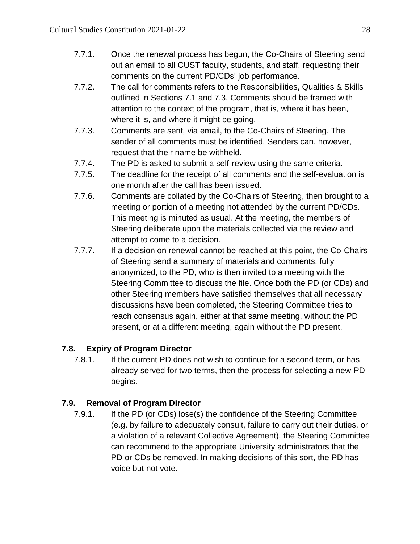- 7.7.1. Once the renewal process has begun, the Co-Chairs of Steering send out an email to all CUST faculty, students, and staff, requesting their comments on the current PD/CDs' job performance.
- 7.7.2. The call for comments refers to the Responsibilities, Qualities & Skills outlined in Sections 7.1 and 7.3. Comments should be framed with attention to the context of the program, that is, where it has been, where it is, and where it might be going.
- 7.7.3. Comments are sent, via email, to the Co-Chairs of Steering. The sender of all comments must be identified. Senders can, however, request that their name be withheld.
- 7.7.4. The PD is asked to submit a self-review using the same criteria.
- 7.7.5. The deadline for the receipt of all comments and the self-evaluation is one month after the call has been issued.
- 7.7.6. Comments are collated by the Co-Chairs of Steering, then brought to a meeting or portion of a meeting not attended by the current PD/CDs. This meeting is minuted as usual. At the meeting, the members of Steering deliberate upon the materials collected via the review and attempt to come to a decision.
- 7.7.7. If a decision on renewal cannot be reached at this point, the Co-Chairs of Steering send a summary of materials and comments, fully anonymized, to the PD, who is then invited to a meeting with the Steering Committee to discuss the file. Once both the PD (or CDs) and other Steering members have satisfied themselves that all necessary discussions have been completed, the Steering Committee tries to reach consensus again, either at that same meeting, without the PD present, or at a different meeting, again without the PD present.

# **7.8. Expiry of Program Director**

7.8.1. If the current PD does not wish to continue for a second term, or has already served for two terms, then the process for selecting a new PD begins.

## **7.9. Removal of Program Director**

7.9.1. If the PD (or CDs) lose(s) the confidence of the Steering Committee (e.g. by failure to adequately consult, failure to carry out their duties, or a violation of a relevant Collective Agreement), the Steering Committee can recommend to the appropriate University administrators that the PD or CDs be removed. In making decisions of this sort, the PD has voice but not vote.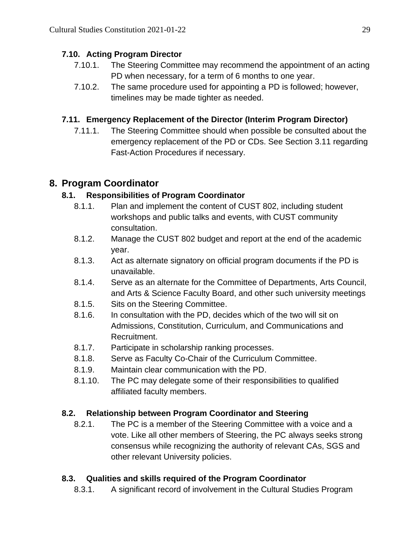## **7.10. Acting Program Director**

- 7.10.1. The Steering Committee may recommend the appointment of an acting PD when necessary, for a term of 6 months to one year.
- 7.10.2. The same procedure used for appointing a PD is followed; however, timelines may be made tighter as needed.

## **7.11. Emergency Replacement of the Director (Interim Program Director)**

7.11.1. The Steering Committee should when possible be consulted about the emergency replacement of the PD or CDs. See Section 3.11 regarding Fast-Action Procedures if necessary.

# <span id="page-28-0"></span>**8. Program Coordinator**

## **8.1. Responsibilities of Program Coordinator**

- 8.1.1. Plan and implement the content of CUST 802, including student workshops and public talks and events, with CUST community consultation.
- 8.1.2. Manage the CUST 802 budget and report at the end of the academic year.
- 8.1.3. Act as alternate signatory on official program documents if the PD is unavailable.
- 8.1.4. Serve as an alternate for the Committee of Departments, Arts Council, and Arts & Science Faculty Board, and other such university meetings
- 8.1.5. Sits on the Steering Committee.
- 8.1.6. In consultation with the PD, decides which of the two will sit on Admissions, Constitution, Curriculum, and Communications and Recruitment.
- 8.1.7. Participate in scholarship ranking processes.
- 8.1.8. Serve as Faculty Co-Chair of the Curriculum Committee.
- 8.1.9. Maintain clear communication with the PD.
- 8.1.10. The PC may delegate some of their responsibilities to qualified affiliated faculty members.

## **8.2. Relationship between Program Coordinator and Steering**

8.2.1. The PC is a member of the Steering Committee with a voice and a vote. Like all other members of Steering, the PC always seeks strong consensus while recognizing the authority of relevant CAs, SGS and other relevant University policies.

# **8.3. Qualities and skills required of the Program Coordinator**

8.3.1. A significant record of involvement in the Cultural Studies Program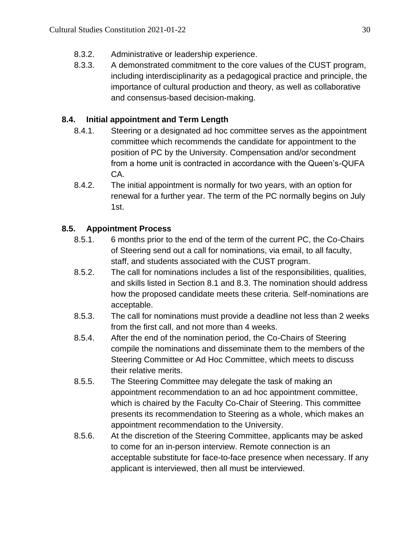- 8.3.2. Administrative or leadership experience.
- 8.3.3. A demonstrated commitment to the core values of the CUST program, including interdisciplinarity as a pedagogical practice and principle, the importance of cultural production and theory, as well as collaborative and consensus-based decision-making.

## **8.4. Initial appointment and Term Length**

- 8.4.1. Steering or a designated ad hoc committee serves as the appointment committee which recommends the candidate for appointment to the position of PC by the University. Compensation and/or secondment from a home unit is contracted in accordance with the Queen's-QUFA CA.
- 8.4.2. The initial appointment is normally for two years, with an option for renewal for a further year. The term of the PC normally begins on July 1st.

## **8.5. Appointment Process**

- 8.5.1. 6 months prior to the end of the term of the current PC, the Co-Chairs of Steering send out a call for nominations, via email, to all faculty, staff, and students associated with the CUST program.
- 8.5.2. The call for nominations includes a list of the responsibilities, qualities, and skills listed in Section 8.1 and 8.3. The nomination should address how the proposed candidate meets these criteria. Self-nominations are acceptable.
- 8.5.3. The call for nominations must provide a deadline not less than 2 weeks from the first call, and not more than 4 weeks.
- 8.5.4. After the end of the nomination period, the Co-Chairs of Steering compile the nominations and disseminate them to the members of the Steering Committee or Ad Hoc Committee, which meets to discuss their relative merits.
- 8.5.5. The Steering Committee may delegate the task of making an appointment recommendation to an ad hoc appointment committee, which is chaired by the Faculty Co-Chair of Steering. This committee presents its recommendation to Steering as a whole, which makes an appointment recommendation to the University.
- 8.5.6. At the discretion of the Steering Committee, applicants may be asked to come for an in-person interview. Remote connection is an acceptable substitute for face-to-face presence when necessary. If any applicant is interviewed, then all must be interviewed.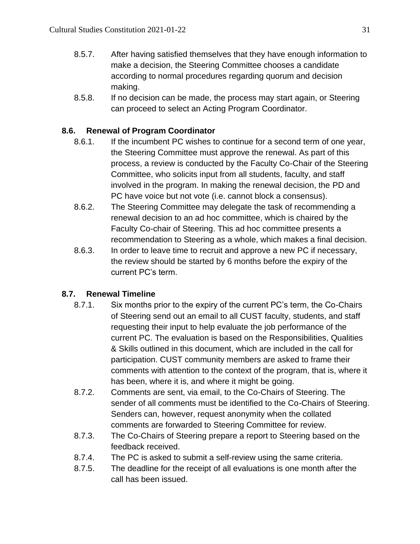- 8.5.7. After having satisfied themselves that they have enough information to make a decision, the Steering Committee chooses a candidate according to normal procedures regarding quorum and decision making.
- 8.5.8. If no decision can be made, the process may start again, or Steering can proceed to select an Acting Program Coordinator.

## **8.6. Renewal of Program Coordinator**

- 8.6.1. If the incumbent PC wishes to continue for a second term of one year, the Steering Committee must approve the renewal. As part of this process, a review is conducted by the Faculty Co-Chair of the Steering Committee, who solicits input from all students, faculty, and staff involved in the program. In making the renewal decision, the PD and PC have voice but not vote (i.e. cannot block a consensus).
- 8.6.2. The Steering Committee may delegate the task of recommending a renewal decision to an ad hoc committee, which is chaired by the Faculty Co-chair of Steering. This ad hoc committee presents a recommendation to Steering as a whole, which makes a final decision.
- 8.6.3. In order to leave time to recruit and approve a new PC if necessary, the review should be started by 6 months before the expiry of the current PC's term.

## **8.7. Renewal Timeline**

- 8.7.1. Six months prior to the expiry of the current PC's term, the Co-Chairs of Steering send out an email to all CUST faculty, students, and staff requesting their input to help evaluate the job performance of the current PC. The evaluation is based on the Responsibilities, Qualities & Skills outlined in this document, which are included in the call for participation. CUST community members are asked to frame their comments with attention to the context of the program, that is, where it has been, where it is, and where it might be going.
- 8.7.2. Comments are sent, via email, to the Co-Chairs of Steering. The sender of all comments must be identified to the Co-Chairs of Steering. Senders can, however, request anonymity when the collated comments are forwarded to Steering Committee for review.
- 8.7.3. The Co-Chairs of Steering prepare a report to Steering based on the feedback received.
- 8.7.4. The PC is asked to submit a self-review using the same criteria.
- 8.7.5. The deadline for the receipt of all evaluations is one month after the call has been issued.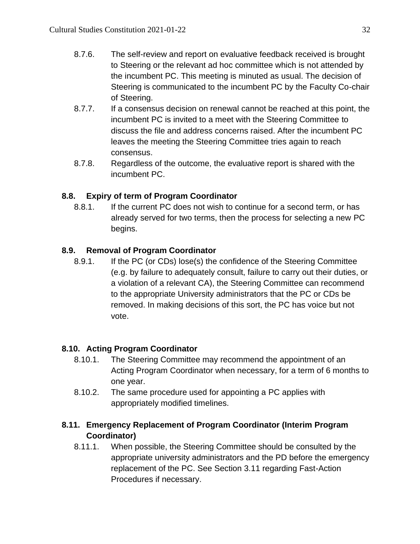- 8.7.6. The self-review and report on evaluative feedback received is brought to Steering or the relevant ad hoc committee which is not attended by the incumbent PC. This meeting is minuted as usual. The decision of Steering is communicated to the incumbent PC by the Faculty Co-chair of Steering.
- 8.7.7. If a consensus decision on renewal cannot be reached at this point, the incumbent PC is invited to a meet with the Steering Committee to discuss the file and address concerns raised. After the incumbent PC leaves the meeting the Steering Committee tries again to reach consensus.
- 8.7.8. Regardless of the outcome, the evaluative report is shared with the incumbent PC.

## **8.8. Expiry of term of Program Coordinator**

8.8.1. If the current PC does not wish to continue for a second term, or has already served for two terms, then the process for selecting a new PC begins.

## **8.9. Removal of Program Coordinator**

8.9.1. If the PC (or CDs) lose(s) the confidence of the Steering Committee (e.g. by failure to adequately consult, failure to carry out their duties, or a violation of a relevant CA), the Steering Committee can recommend to the appropriate University administrators that the PC or CDs be removed. In making decisions of this sort, the PC has voice but not vote.

# **8.10. Acting Program Coordinator**

- 8.10.1. The Steering Committee may recommend the appointment of an Acting Program Coordinator when necessary, for a term of 6 months to one year.
- 8.10.2. The same procedure used for appointing a PC applies with appropriately modified timelines.

## **8.11. Emergency Replacement of Program Coordinator (Interim Program Coordinator)**

8.11.1. When possible, the Steering Committee should be consulted by the appropriate university administrators and the PD before the emergency replacement of the PC. See Section 3.11 regarding Fast-Action Procedures if necessary.